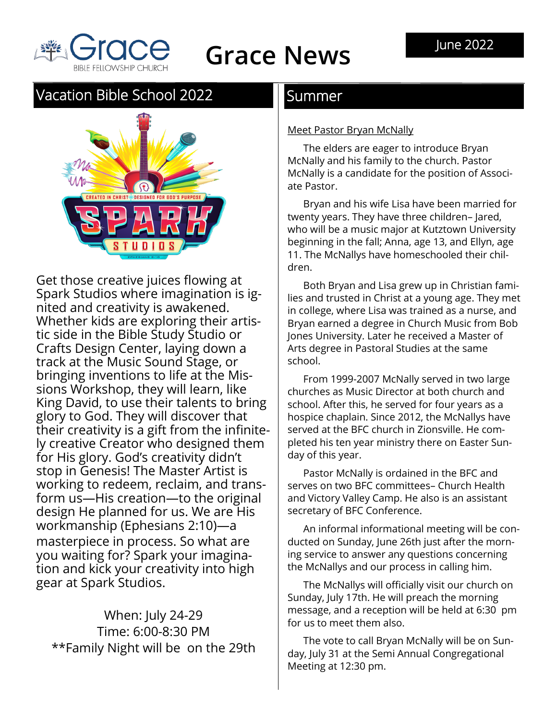

# **Grace News**

### Vacation Bible School 2022 **Summer**



Get those creative juices flowing at Spark Studios where imagination is ignited and creativity is awakened. Whether kids are exploring their artistic side in the Bible Study Studio or Crafts Design Center, laying down a track at the Music Sound Stage, or bringing inventions to life at the Missions Workshop, they will learn, like King David, to use their talents to bring glory to God. They will discover that their creativity is a gift from the infinitely creative Creator who designed them for His glory. God's creativity didn't stop in Genesis! The Master Artist is working to redeem, reclaim, and transform us—His creation—to the original design He planned for us. We are His workmanship (Ephesians 2:10)—a masterpiece in process. So what are you waiting for? Spark your imagination and kick your creativity into high gear at Spark Studios.

When: July 24-29 Time: 6:00-8:30 PM \*\*Family Night will be on the 29th

#### Meet Pastor Bryan McNally

The elders are eager to introduce Bryan McNally and his family to the church. Pastor McNally is a candidate for the position of Associate Pastor.

Bryan and his wife Lisa have been married for twenty years. They have three children– Jared, who will be a music major at Kutztown University beginning in the fall; Anna, age 13, and Ellyn, age 11. The McNallys have homeschooled their children.

Both Bryan and Lisa grew up in Christian families and trusted in Christ at a young age. They met in college, where Lisa was trained as a nurse, and Bryan earned a degree in Church Music from Bob Jones University. Later he received a Master of Arts degree in Pastoral Studies at the same school.

From 1999-2007 McNally served in two large churches as Music Director at both church and school. After this, he served for four years as a hospice chaplain. Since 2012, the McNallys have served at the BFC church in Zionsville. He completed his ten year ministry there on Easter Sunday of this year.

Pastor McNally is ordained in the BFC and serves on two BFC committees– Church Health and Victory Valley Camp. He also is an assistant secretary of BFC Conference.

An informal informational meeting will be conducted on Sunday, June 26th just after the morning service to answer any questions concerning the McNallys and our process in calling him.

The McNallys will officially visit our church on Sunday, July 17th. He will preach the morning message, and a reception will be held at 6:30 pm for us to meet them also.

The vote to call Bryan McNally will be on Sunday, July 31 at the Semi Annual Congregational Meeting at 12:30 pm.